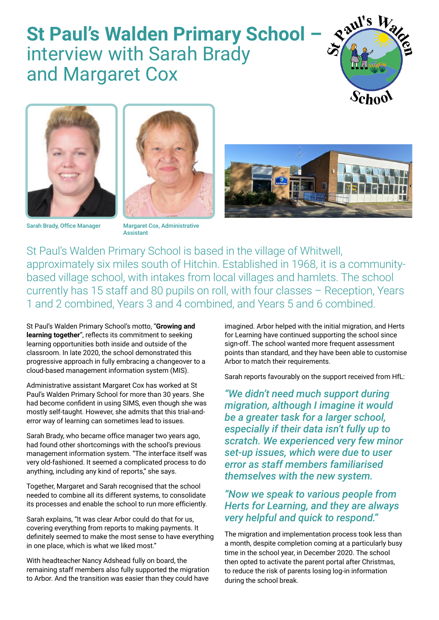## **St Paul's Walden Primary School –**  interview with Sarah Brady and Margaret Cox





Sarah Brady, Office Manager Margaret Cox, Administrative



**Accietant** 



St Paul's Walden Primary School is based in the village of Whitwell, approximately six miles south of Hitchin. Established in 1968, it is a communitybased village school, with intakes from local villages and hamlets. The school currently has 15 staff and 80 pupils on roll, with four classes – Reception, Years 1 and 2 combined, Years 3 and 4 combined, and Years 5 and 6 combined.

St Paul's Walden Primary School's motto, "**Growing and learning together**", reflects its commitment to seeking learning opportunities both inside and outside of the classroom. In late 2020, the school demonstrated this progressive approach in fully embracing a changeover to a cloud-based management information system (MIS).

Administrative assistant Margaret Cox has worked at St Paul's Walden Primary School for more than 30 years. She had become confident in using SIMS, even though she was mostly self-taught. However, she admits that this trial-anderror way of learning can sometimes lead to issues.

Sarah Brady, who became office manager two years ago, had found other shortcomings with the school's previous management information system. "The interface itself was very old-fashioned. It seemed a complicated process to do anything, including any kind of reports," she says.

Together, Margaret and Sarah recognised that the school needed to combine all its different systems, to consolidate its processes and enable the school to run more efficiently.

Sarah explains, "It was clear Arbor could do that for us, covering everything from reports to making payments. It definitely seemed to make the most sense to have everything in one place, which is what we liked most."

With headteacher Nancy Adshead fully on board, the remaining staff members also fully supported the migration to Arbor. And the transition was easier than they could have

imagined. Arbor helped with the initial migration, and Herts for Learning have continued supporting the school since sign-off. The school wanted more frequent assessment points than standard, and they have been able to customise Arbor to match their requirements.

Sarah reports favourably on the support received from HfL:

*"We didn't need much support during migration, although I imagine it would be a greater task for a larger school, especially if their data isn't fully up to scratch. We experienced very few minor set-up issues, which were due to user error as staff members familiarised themselves with the new system.*

## *"Now we speak to various people from Herts for Learning, and they are always very helpful and quick to respond."*

The migration and implementation process took less than a month, despite completion coming at a particularly busy time in the school year, in December 2020. The school then opted to activate the parent portal after Christmas, to reduce the risk of parents losing log-in information during the school break.